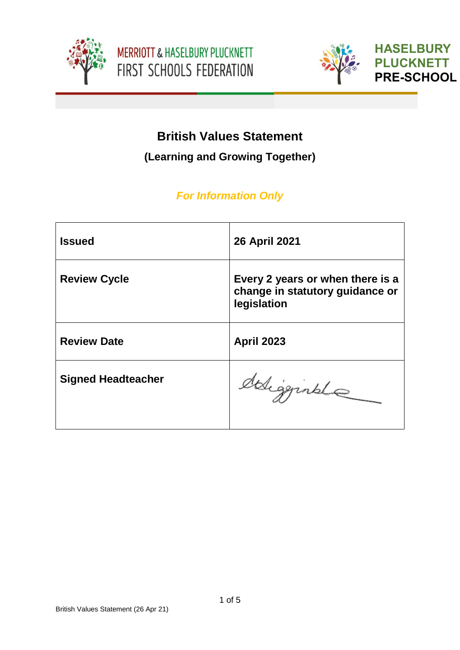





**HASELBURY PLUCKNETT PRE-SCHOOL**

# **British Values Statement**

**(Learning and Growing Together)**

# *For Information Only*

| <b>Issued</b>             | 26 April 2021                                                                      |
|---------------------------|------------------------------------------------------------------------------------|
| <b>Review Cycle</b>       | Every 2 years or when there is a<br>change in statutory guidance or<br>legislation |
| <b>Review Date</b>        | <b>April 2023</b>                                                                  |
| <b>Signed Headteacher</b> | deligginale                                                                        |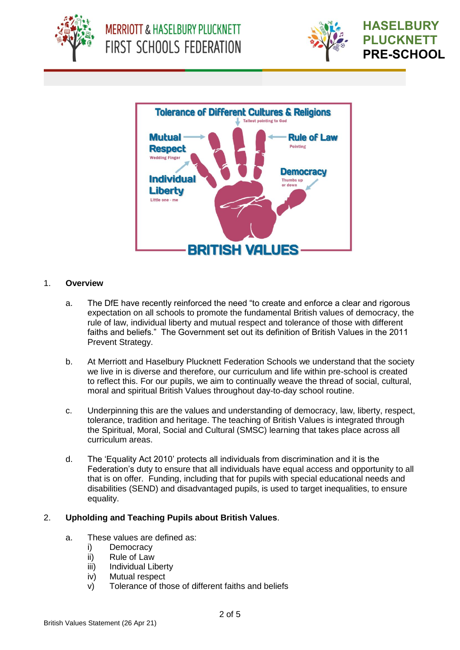





#### 1. **Overview**

- a. The DfE have recently reinforced the need "to create and enforce a clear and rigorous expectation on all schools to promote the fundamental British values of democracy, the rule of law, individual liberty and mutual respect and tolerance of those with different faiths and beliefs." The Government set out its definition of British Values in the 2011 Prevent Strategy.
- b. At Merriott and Haselbury Plucknett Federation Schools we understand that the society we live in is diverse and therefore, our curriculum and life within pre-school is created to reflect this. For our pupils, we aim to continually weave the thread of social, cultural, moral and spiritual British Values throughout day-to-day school routine.
- c. Underpinning this are the values and understanding of democracy, law, liberty, respect, tolerance, tradition and heritage. The teaching of British Values is integrated through the Spiritual, Moral, Social and Cultural (SMSC) learning that takes place across all curriculum areas.
- d. The 'Equality Act 2010' protects all individuals from discrimination and it is the Federation's duty to ensure that all individuals have equal access and opportunity to all that is on offer. Funding, including that for pupils with special educational needs and disabilities (SEND) and disadvantaged pupils, is used to target inequalities, to ensure equality.

### 2. **Upholding and Teaching Pupils about British Values**.

- a. These values are defined as:
	- i) Democracy
	- ii) Rule of Law
	- iii) Individual Liberty
	- iv) Mutual respect
	- v) Tolerance of those of different faiths and beliefs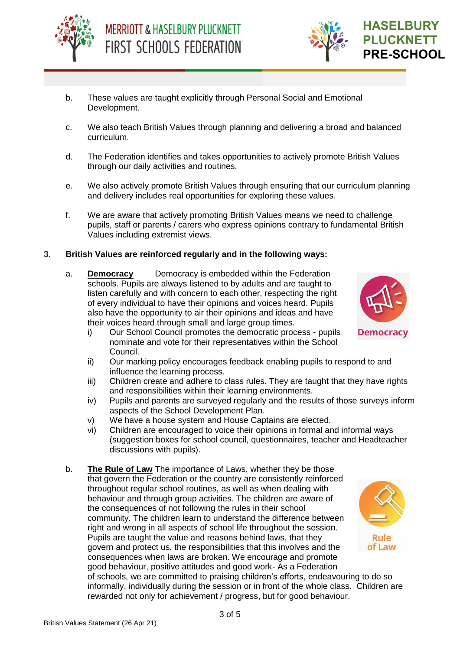



- b. These values are taught explicitly through Personal Social and Emotional Development.
- c. We also teach British Values through planning and delivering a broad and balanced curriculum.
- d. The Federation identifies and takes opportunities to actively promote British Values through our daily activities and routines.
- e. We also actively promote British Values through ensuring that our curriculum planning and delivery includes real opportunities for exploring these values.
- f. We are aware that actively promoting British Values means we need to challenge pupils, staff or parents / carers who express opinions contrary to fundamental British Values including extremist views.

#### 3. **British Values are reinforced regularly and in the following ways:**

- a. **Democracy** Democracy is embedded within the Federation schools. Pupils are always listened to by adults and are taught to listen carefully and with concern to each other, respecting the right of every individual to have their opinions and voices heard. Pupils also have the opportunity to air their opinions and ideas and have their voices heard through small and large group times.
	- i) Our School Council promotes the democratic process pupils nominate and vote for their representatives within the School Council.
	- ii) Our marking policy encourages feedback enabling pupils to respond to and influence the learning process.
	- iii) Children create and adhere to class rules. They are taught that they have rights and responsibilities within their learning environments.
	- iv) Pupils and parents are surveyed regularly and the results of those surveys inform aspects of the School Development Plan.
	- v) We have a house system and House Captains are elected.
	- vi) Children are encouraged to voice their opinions in formal and informal ways (suggestion boxes for school council, questionnaires, teacher and Headteacher discussions with pupils).
- b. **The Rule of Law** The importance of Laws, whether they be those that govern the Federation or the country are consistently reinforced throughout regular school routines, as well as when dealing with behaviour and through group activities. The children are aware of the consequences of not following the rules in their school community. The children learn to understand the difference between right and wrong in all aspects of school life throughout the session. Pupils are taught the value and reasons behind laws, that they govern and protect us, the responsibilities that this involves and the consequences when laws are broken. We encourage and promote good behaviour, positive attitudes and good work- As a Federation



of schools, we are committed to praising children's efforts, endeavouring to do so informally, individually during the session or in front of the whole class. Children are rewarded not only for achievement / progress, but for good behaviour.

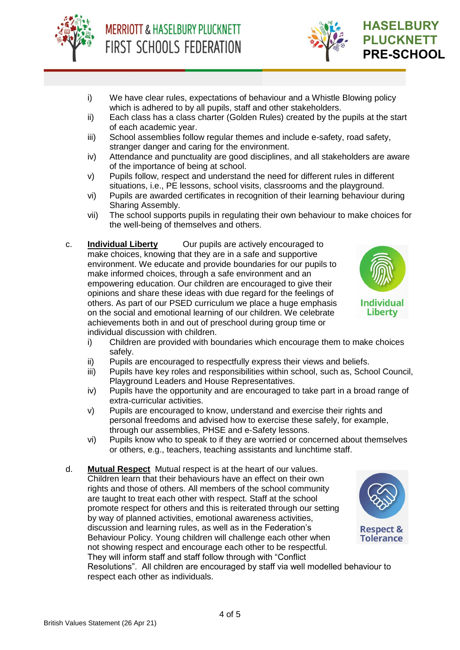



- i) We have clear rules, expectations of behaviour and a Whistle Blowing policy which is adhered to by all pupils, staff and other stakeholders.
- ii) Each class has a class charter (Golden Rules) created by the pupils at the start of each academic year.
- iii) School assemblies follow regular themes and include e-safety, road safety, stranger danger and caring for the environment.
- iv) Attendance and punctuality are good disciplines, and all stakeholders are aware of the importance of being at school.
- v) Pupils follow, respect and understand the need for different rules in different situations, i.e., PE lessons, school visits, classrooms and the playground.
- vi) Pupils are awarded certificates in recognition of their learning behaviour during Sharing Assembly.
- vii) The school supports pupils in regulating their own behaviour to make choices for the well-being of themselves and others.
- c. **Individual Liberty** Our pupils are actively encouraged to make choices, knowing that they are in a safe and supportive environment. We educate and provide boundaries for our pupils to make informed choices, through a safe environment and an empowering education. Our children are encouraged to give their opinions and share these ideas with due regard for the feelings of others. As part of our PSED curriculum we place a huge emphasis on the social and emotional learning of our children. We celebrate achievements both in and out of preschool during group time or individual discussion with children.



- i) Children are provided with boundaries which encourage them to make choices safely.
- ii) Pupils are encouraged to respectfully express their views and beliefs.
- iii) Pupils have key roles and responsibilities within school, such as, School Council, Playground Leaders and House Representatives.
- iv) Pupils have the opportunity and are encouraged to take part in a broad range of extra-curricular activities.
- v) Pupils are encouraged to know, understand and exercise their rights and personal freedoms and advised how to exercise these safely, for example, through our assemblies, PHSE and e-Safety lessons.
- vi) Pupils know who to speak to if they are worried or concerned about themselves or others, e.g., teachers, teaching assistants and lunchtime staff.
- d. **Mutual Respect** Mutual respect is at the heart of our values. Children learn that their behaviours have an effect on their own rights and those of others. All members of the school community are taught to treat each other with respect. Staff at the school promote respect for others and this is reiterated through our setting by way of planned activities, emotional awareness activities, discussion and learning rules, as well as in the Federation's Behaviour Policy. Young children will challenge each other when not showing respect and encourage each other to be respectful. They will inform staff and staff follow through with "Conflict Resolutions". All children are encouraged by staff via well modelled behaviour to respect each other as individuals.